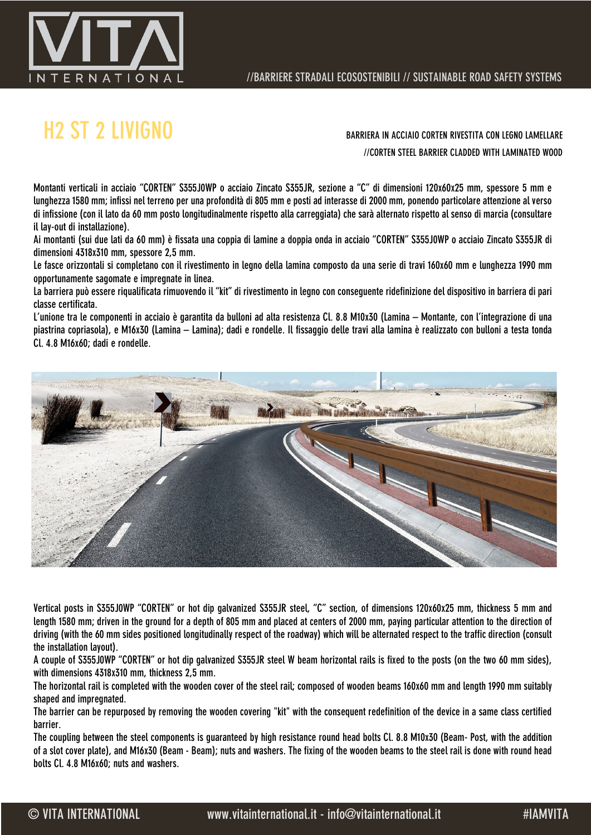

### H2 ST 2 LIVIGNO BARRIERA IN ACCIAIO CORTEN RIVESTITA CON LEGNO LAMELLARE

//CORTEN STEEL BARRIER CLADDED WITH LAMINATED WOOD

Montanti verticali in acciaio "CORTEN" S355J0WP o acciaio Zincato S355JR, sezione a "C" di dimensioni 120x60x25 mm, spessore 5 mm e lunghezza 1580 mm; infissi nel terreno per una profondità di 805 mm e posti ad interasse di 2000 mm, ponendo particolare attenzione al verso di infissione (con il lato da 60 mm posto longitudinalmente rispetto alla carreggiata) che sarà alternato rispetto al senso di marcia (consultare il lay-out di installazione).

Ai montanti (sui due lati da 60 mm) è fissata una coppia di lamine a doppia onda in acciaio "CORTEN" S355J0WP o acciaio Zincato S355JR di dimensioni 4318x310 mm, spessore 2,5 mm.

Le fasce orizzontali si completano con il rivestimento in legno della lamina composto da una serie di travi 160x60 mm e lunghezza 1990 mm opportunamente sagomate e impregnate in linea.

La barriera può essere riqualificata rimuovendo il "kit" di rivestimento in legno con conseguente ridefinizione del dispositivo in barriera di pari classe certificata.

L'unione tra le componenti in acciaio è garantita da bulloni ad alta resistenza Cl. 8.8 M10x30 (Lamina – Montante, con l'integrazione di una piastrina copriasola), e M16x30 (Lamina – Lamina); dadi e rondelle. Il fissaggio delle travi alla lamina è realizzato con bulloni a testa tonda Cl. 4.8 M16x60; dadi e rondelle.



Vertical posts in S355J0WP "CORTEN" or hot dip galvanized S355JR steel, "C" section, of dimensions 120x60x25 mm, thickness 5 mm and length 1580 mm; driven in the ground for a depth of 805 mm and placed at centers of 2000 mm, paying particular attention to the direction of driving (with the 60 mm sides positioned longitudinally respect of the roadway) which will be alternated respect to the traffic direction (consult the installation layout).

A couple of S355J0WP "CORTEN" or hot dip galvanized S355JR steel W beam horizontal rails is fixed to the posts (on the two 60 mm sides), with dimensions 4318x310 mm, thickness 2,5 mm.

The horizontal rail is completed with the wooden cover of the steel rail; composed of wooden beams 160x60 mm and length 1990 mm suitably shaped and impregnated.

The barrier can be repurposed by removing the wooden covering "kit" with the consequent redefinition of the device in a same class certified barrier.

The coupling between the steel components is guaranteed by high resistance round head bolts Cl. 8.8 M10x30 (Beam- Post, with the addition of a slot cover plate), and M16x30 (Beam - Beam); nuts and washers. The fixing of the wooden beams to the steel rail is done with round head bolts Cl. 4.8 M16x60; nuts and washers.